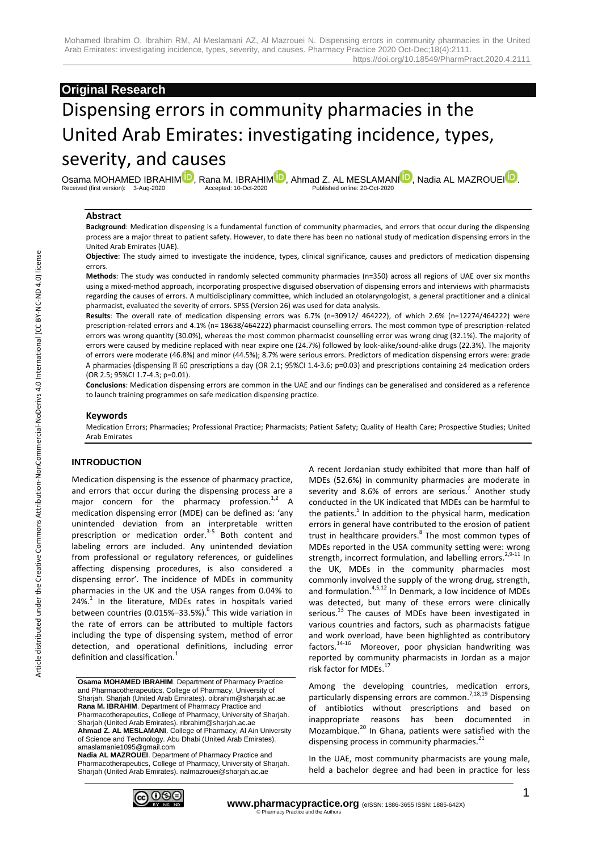# **Original Research**

# Dispensing errors in community pharmacies in the United Arab Emirates: investigating incidence, types, severity, and causes

Osama [M](https://orcid.org/0000-0002-9104-3852)OHAMED IBRAHIM<sup>ID</sup>, Rana M. IBRAHIM<sup>ID</sup>, Ahmad Z. AL MESLAMA[NI](https://orcid.org/0000-0002-8370-9562)<sup>ID</sup>, Nadia AL MAZROU[EI](https://orcid.org/0000-0002-1339-9730)<sup>ID</sup>.<br>Received (first version): 3-Aug-2020<br>Published online: 20-Oct-2020 Received (first version): 3-Aug-2020

#### **Abstract**

**Background**: Medication dispensing is a fundamental function of community pharmacies, and errors that occur during the dispensing process are a major threat to patient safety. However, to date there has been no national study of medication dispensing errors in the United Arab Emirates (UAE).

**Objective**: The study aimed to investigate the incidence, types, clinical significance, causes and predictors of medication dispensing errors.

**Methods**: The study was conducted in randomly selected community pharmacies (n=350) across all regions of UAE over six months using a mixed-method approach, incorporating prospective disguised observation of dispensing errors and interviews with pharmacists regarding the causes of errors. A multidisciplinary committee, which included an otolaryngologist, a general practitioner and a clinical pharmacist, evaluated the severity of errors. SPSS (Version 26) was used for data analysis.

**Results**: The overall rate of medication dispensing errors was 6.7% (n=30912/ 464222), of which 2.6% (n=12274/464222) were prescription-related errors and 4.1% (n= 18638/464222) pharmacist counselling errors. The most common type of prescription-related errors was wrong quantity (30.0%), whereas the most common pharmacist counselling error was wrong drug (32.1%). The majority of errors were caused by medicine replaced with near expire one (24.7%) followed by look-alike/sound-alike drugs (22.3%). The majority of errors were moderate (46.8%) and minor (44.5%); 8.7% were serious errors. Predictors of medication dispensing errors were: grade A pharmacies (dispensing **D** 60 prescriptions a day (OR 2.1; 95%Cl 1.4-3.6; p=0.03) and prescriptions containing ≥4 medication orders (OR 2.5; 95%CI 1.7-4.3; p=0.01).

**Conclusions**: Medication dispensing errors are common in the UAE and our findings can be generalised and considered as a reference to launch training programmes on safe medication dispensing practice.

#### **Keywords**

Medication Errors; Pharmacies; Professional Practice; Pharmacists; Patient Safety; Quality of Health Care; Prospective Studies; United Arab Emirates

## **INTRODUCTION**

Medication dispensing is the essence of pharmacy practice, and errors that occur during the dispensing process are a major concern for the pharmacy profession.<sup>1,2</sup> A medication dispensing error (MDE) can be defined as: 'any unintended deviation from an interpretable written prescription or medication order.<sup>3-5</sup> Both content and labeling errors are included. Any unintended deviation from professional or regulatory references, or guidelines affecting dispensing procedures, is also considered a dispensing error'. The incidence of MDEs in community pharmacies in the UK and the USA ranges from 0.04% to  $24\%$ .<sup>1</sup> In the literature, MDEs rates in hospitals varied between countries (0.015%–33.5%). 6 This wide variation in the rate of errors can be attributed to multiple factors including the type of dispensing system, method of error detection, and operational definitions, including error definition and classification. 1

**Nadia AL MAZROUEI**. Department of Pharmacy Practice and Pharmacotherapeutics, College of Pharmacy, University of Sharjah. Sharjah (United Arab Emirates). nalmazrouei@sharjah.ac.ae

A recent Jordanian study exhibited that more than half of MDEs (52.6%) in community pharmacies are moderate in severity and 8.6% of errors are serious.<sup>7</sup> Another study conducted in the UK indicated that MDEs can be harmful to the patients.<sup>5</sup> In addition to the physical harm, medication errors in general have contributed to the erosion of patient trust in healthcare providers.<sup>8</sup> The most common types of MDEs reported in the USA community setting were: wrong strength, incorrect formulation, and labelling errors.<sup>2,9-11</sup> In the UK, MDEs in the community pharmacies most commonly involved the supply of the wrong drug, strength, and formulation.<sup>4,5,12</sup> In Denmark, a low incidence of MDEs was detected, but many of these errors were clinically serious.<sup>13</sup> The causes of MDEs have been investigated in various countries and factors, such as pharmacists fatigue and work overload, have been highlighted as contributory factors.<sup>14-16</sup> Moreover, poor physician handwriting was reported by community pharmacists in Jordan as a major risk factor for MDEs.<sup>17</sup>

Among the developing countries, medication errors, particularly dispensing errors are common.<sup>7,18,19</sup> Dispensing of antibiotics without prescriptions and based on inappropriate reasons has been documented in Mozambique. <sup>20</sup> In Ghana, patients were satisfied with the dispensing process in community pharmacies.<sup>21</sup>

In the UAE, most community pharmacists are young male, held a bachelor degree and had been in practice for less



**Osama MOHAMED IBRAHIM**. Department of Pharmacy Practice and Pharmacotherapeutics, College of Pharmacy, University of Sharjah. Sharjah (United Arab Emirates). oibrahim@sharjah.ac.ae **Rana M. IBRAHIM**. Department of Pharmacy Practice and Pharmacotherapeutics, College of Pharmacy, University of Sharjah. Sharjah (United Arab Emirates). ribrahim@sharjah.ac.ae **Ahmad Z. AL MESLAMANI**. College of Pharmacy, Al Ain University of Science and Technology. Abu Dhabi (United Arab Emirates). amaslamanie1095@gmail.com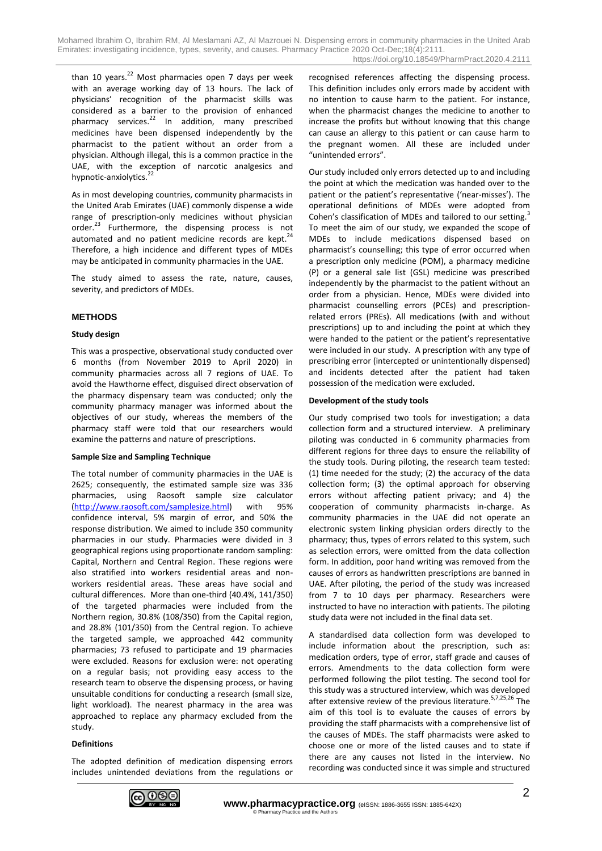Mohamed Ibrahim O, Ibrahim RM, Al Meslamani AZ, Al Mazrouei N. Dispensing errors in community pharmacies in the United Arab Emirates: investigating incidence, types, severity, and causes. Pharmacy Practice 2020 Oct-Dec;18(4):2111. https://doi.org/10.18549/PharmPract.2020.4.2111

than 10 years. <sup>22</sup> Most pharmacies open 7 days per week with an average working day of 13 hours. The lack of physicians' recognition of the pharmacist skills was considered as a barrier to the provision of enhanced pharmacy services. <sup>22</sup> In addition, many prescribed medicines have been dispensed independently by the pharmacist to the patient without an order from a physician. Although illegal, this is a common practice in the UAE, with the exception of narcotic analgesics and hypnotic-anxiolytics.<sup>22</sup>

As in most developing countries, community pharmacists in the United Arab Emirates (UAE) commonly dispense a wide range of prescription-only medicines without physician order.<sup>23</sup> Furthermore, the dispensing process is not automated and no patient medicine records are kept.<sup>2</sup> Therefore, a high incidence and different types of MDEs may be anticipated in community pharmacies in the UAE.

The study aimed to assess the rate, nature, causes, severity, and predictors of MDEs.

#### **METHODS**

#### **Study design**

This was a prospective, observational study conducted over 6 months (from November 2019 to April 2020) in community pharmacies across all 7 regions of UAE. To avoid the Hawthorne effect, disguised direct observation of the pharmacy dispensary team was conducted; only the community pharmacy manager was informed about the objectives of our study, whereas the members of the pharmacy staff were told that our researchers would examine the patterns and nature of prescriptions.

#### **Sample Size and Sampling Technique**

The total number of community pharmacies in the UAE is 2625; consequently, the estimated sample size was 336 pharmacies, using Raosoft sample size calculator [\(http://www.raosoft.com/samplesize.html\)](http://www.raosoft.com/samplesize.html) with 95% confidence interval, 5% margin of error, and 50% the response distribution. We aimed to include 350 community pharmacies in our study. Pharmacies were divided in 3 geographical regions using proportionate random sampling: Capital, Northern and Central Region. These regions were also stratified into workers residential areas and nonworkers residential areas. These areas have social and cultural differences. More than one-third (40.4%, 141/350) of the targeted pharmacies were included from the Northern region, 30.8% (108/350) from the Capital region, and 28.8% (101/350) from the Central region. To achieve the targeted sample, we approached 442 community pharmacies; 73 refused to participate and 19 pharmacies were excluded. Reasons for exclusion were: not operating on a regular basis; not providing easy access to the research team to observe the dispensing process, or having unsuitable conditions for conducting a research (small size, light workload). The nearest pharmacy in the area was approached to replace any pharmacy excluded from the study.

#### **Definitions**

The adopted definition of medication dispensing errors includes unintended deviations from the regulations or



recognised references affecting the dispensing process. This definition includes only errors made by accident with no intention to cause harm to the patient. For instance, when the pharmacist changes the medicine to another to increase the profits but without knowing that this change can cause an allergy to this patient or can cause harm to the pregnant women. All these are included under "unintended errors".

Our study included only errors detected up to and including the point at which the medication was handed over to the patient or the patient's representative ('near-misses'). The operational definitions of MDEs were adopted from Cohen's classification of MDEs and tailored to our setting.<sup>3</sup> To meet the aim of our study, we expanded the scope of MDEs to include medications dispensed based on pharmacist's counselling; this type of error occurred when a prescription only medicine (POM), a pharmacy medicine (P) or a general sale list (GSL) medicine was prescribed independently by the pharmacist to the patient without an order from a physician. Hence, MDEs were divided into pharmacist counselling errors (PCEs) and prescriptionrelated errors (PREs). All medications (with and without prescriptions) up to and including the point at which they were handed to the patient or the patient's representative were included in our study. A prescription with any type of prescribing error (intercepted or unintentionally dispensed) and incidents detected after the patient had taken possession of the medication were excluded.

#### **Development of the study tools**

Our study comprised two tools for investigation; a data collection form and a structured interview. A preliminary piloting was conducted in 6 community pharmacies from different regions for three days to ensure the reliability of the study tools. During piloting, the research team tested: (1) time needed for the study; (2) the accuracy of the data collection form; (3) the optimal approach for observing errors without affecting patient privacy; and 4) the cooperation of community pharmacists in-charge. As community pharmacies in the UAE did not operate an electronic system linking physician orders directly to the pharmacy; thus, types of errors related to this system, such as selection errors, were omitted from the data collection form. In addition, poor hand writing was removed from the causes of errors as handwritten prescriptions are banned in UAE. After piloting, the period of the study was increased from 7 to 10 days per pharmacy. Researchers were instructed to have no interaction with patients. The piloting study data were not included in the final data set.

A standardised data collection form was developed to include information about the prescription, such as: medication orders, type of error, staff grade and causes of errors. Amendments to the data collection form were performed following the pilot testing. The second tool for this study was a structured interview, which was developed after extensive review of the previous literature.<sup>5,7,25,26</sup> The aim of this tool is to evaluate the causes of errors by providing the staff pharmacists with a comprehensive list of the causes of MDEs. The staff pharmacists were asked to choose one or more of the listed causes and to state if there are any causes not listed in the interview. No recording was conducted since it was simple and structured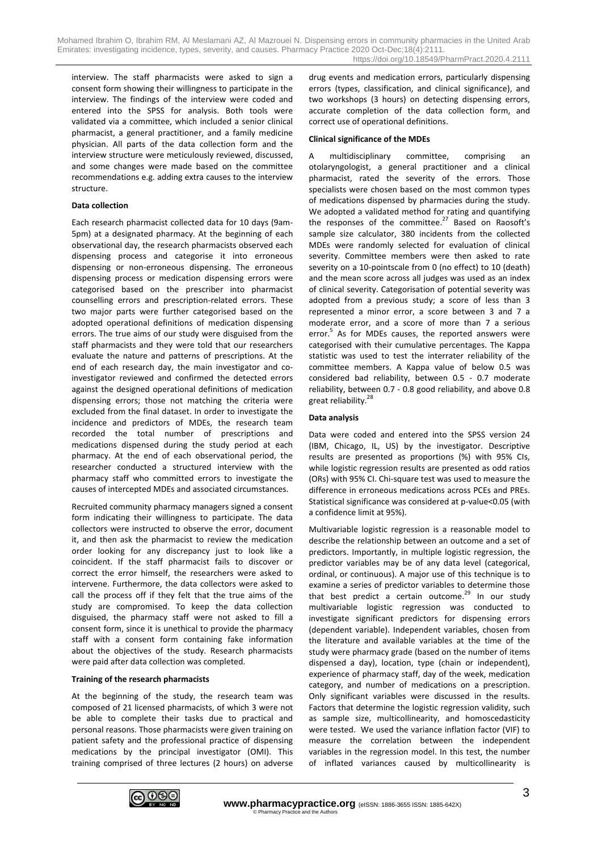interview. The staff pharmacists were asked to sign a consent form showing their willingness to participate in the interview. The findings of the interview were coded and entered into the SPSS for analysis. Both tools were validated via a committee, which included a senior clinical pharmacist, a general practitioner, and a family medicine physician. All parts of the data collection form and the interview structure were meticulously reviewed, discussed, and some changes were made based on the committee recommendations e.g. adding extra causes to the interview structure.

#### **Data collection**

Each research pharmacist collected data for 10 days (9am-5pm) at a designated pharmacy. At the beginning of each observational day, the research pharmacists observed each dispensing process and categorise it into erroneous dispensing or non-erroneous dispensing. The erroneous dispensing process or medication dispensing errors were categorised based on the prescriber into pharmacist counselling errors and prescription-related errors. These two major parts were further categorised based on the adopted operational definitions of medication dispensing errors. The true aims of our study were disguised from the staff pharmacists and they were told that our researchers evaluate the nature and patterns of prescriptions. At the end of each research day, the main investigator and coinvestigator reviewed and confirmed the detected errors against the designed operational definitions of medication dispensing errors; those not matching the criteria were excluded from the final dataset. In order to investigate the incidence and predictors of MDEs, the research team recorded the total number of prescriptions and medications dispensed during the study period at each pharmacy. At the end of each observational period, the researcher conducted a structured interview with the pharmacy staff who committed errors to investigate the causes of intercepted MDEs and associated circumstances.

Recruited community pharmacy managers signed a consent form indicating their willingness to participate. The data collectors were instructed to observe the error, document it, and then ask the pharmacist to review the medication order looking for any discrepancy just to look like a coincident. If the staff pharmacist fails to discover or correct the error himself, the researchers were asked to intervene. Furthermore, the data collectors were asked to call the process off if they felt that the true aims of the study are compromised. To keep the data collection disguised, the pharmacy staff were not asked to fill a consent form, since it is unethical to provide the pharmacy staff with a consent form containing fake information about the objectives of the study. Research pharmacists were paid after data collection was completed.

#### **Training of the research pharmacists**

At the beginning of the study, the research team was composed of 21 licensed pharmacists, of which 3 were not be able to complete their tasks due to practical and personal reasons. Those pharmacists were given training on patient safety and the professional practice of dispensing medications by the principal investigator (OMI). This training comprised of three lectures (2 hours) on adverse

drug events and medication errors, particularly dispensing errors (types, classification, and clinical significance), and two workshops (3 hours) on detecting dispensing errors, accurate completion of the data collection form, and correct use of operational definitions.

### **Clinical significance of the MDEs**

A multidisciplinary committee, comprising an otolaryngologist, a general practitioner and a clinical pharmacist, rated the severity of the errors. Those specialists were chosen based on the most common types of medications dispensed by pharmacies during the study. We adopted a validated method for rating and quantifying the responses of the committee.<sup>27</sup> Based on Raosoft's sample size calculator, 380 incidents from the collected MDEs were randomly selected for evaluation of clinical severity. Committee members were then asked to rate severity on a 10-pointscale from 0 (no effect) to 10 (death) and the mean score across all judges was used as an index of clinical severity. Categorisation of potential severity was adopted from a previous study; a score of less than 3 represented a minor error, a score between 3 and 7 a moderate error, and a score of more than 7 a serious error.<sup>5</sup> As for MDEs causes, the reported answers were categorised with their cumulative percentages. The Kappa statistic was used to test the interrater reliability of the committee members. A Kappa value of below 0.5 was considered bad reliability, between 0.5 - 0.7 moderate reliability, between 0.7 - 0.8 good reliability, and above 0.8 great reliability. 28

## **Data analysis**

Data were coded and entered into the SPSS version 24 (IBM, Chicago, IL, US) by the investigator. Descriptive results are presented as proportions (%) with 95% CIs, while logistic regression results are presented as odd ratios (ORs) with 95% CI. Chi-square test was used to measure the difference in erroneous medications across PCEs and PREs. Statistical significance was considered at p-value<0.05 (with a confidence limit at 95%).

Multivariable logistic regression is a reasonable model to describe the relationship between an outcome and a set of predictors. Importantly, in multiple logistic regression, the predictor variables may be of any data level (categorical, ordinal, or continuous). A major use of this technique is to examine a series of predictor variables to determine those that best predict a certain outcome.<sup>29</sup> In our study multivariable logistic regression was conducted to investigate significant predictors for dispensing errors (dependent variable). Independent variables, chosen from the literature and available variables at the time of the study were pharmacy grade (based on the number of items dispensed a day), location, type (chain or independent), experience of pharmacy staff, day of the week, medication category, and number of medications on a prescription. Only significant variables were discussed in the results. Factors that determine the logistic regression validity, such as sample size, multicollinearity, and homoscedasticity were tested. We used the variance inflation factor (VIF) to measure the correlation between the independent variables in the regression model. In this test, the number of inflated variances caused by multicollinearity is

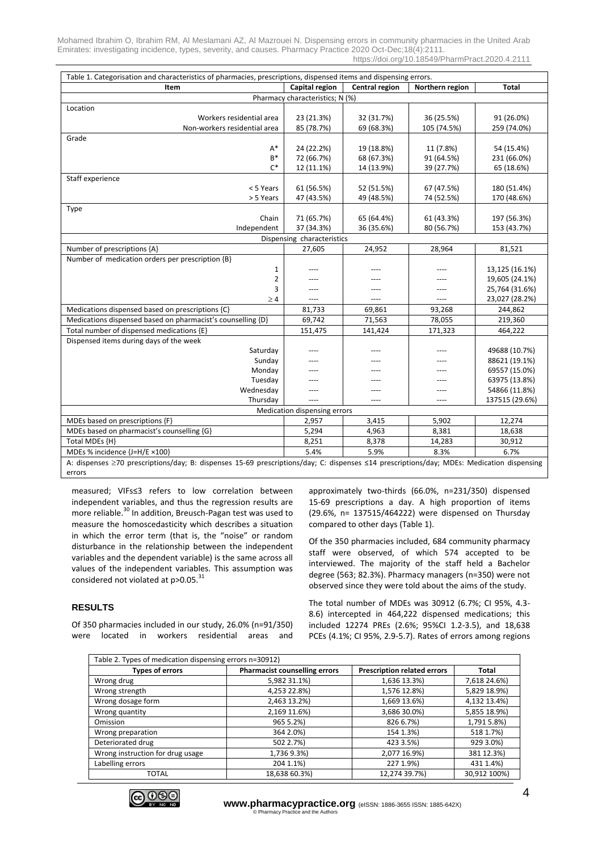Mohamed Ibrahim O, Ibrahim RM, Al Meslamani AZ, Al Mazrouei N. Dispensing errors in community pharmacies in the United Arab Emirates: investigating incidence, types, severity, and causes. Pharmacy Practice 2020 Oct-Dec;18(4):2111. https://doi.org/10.18549/PharmPract.2020.4.2111

| Table 1. Categorisation and characteristics of pharmacies, prescriptions, dispensed items and dispensing errors.                          |                                 |                |                 |                |
|-------------------------------------------------------------------------------------------------------------------------------------------|---------------------------------|----------------|-----------------|----------------|
| Item                                                                                                                                      | Capital region                  | Central region | Northern region | <b>Total</b>   |
|                                                                                                                                           | Pharmacy characteristics; N (%) |                |                 |                |
| Location                                                                                                                                  |                                 |                |                 |                |
| Workers residential area                                                                                                                  | 23 (21.3%)                      | 32 (31.7%)     | 36 (25.5%)      | 91 (26.0%)     |
| Non-workers residential area                                                                                                              | 85 (78.7%)                      | 69 (68.3%)     | 105 (74.5%)     | 259 (74.0%)    |
| Grade                                                                                                                                     |                                 |                |                 |                |
| $A^*$                                                                                                                                     | 24 (22.2%)                      | 19 (18.8%)     | 11 (7.8%)       | 54 (15.4%)     |
| $B*$                                                                                                                                      | 72 (66.7%)                      | 68 (67.3%)     | 91 (64.5%)      | 231 (66.0%)    |
| C*                                                                                                                                        | 12 (11.1%)                      | 14 (13.9%)     | 39 (27.7%)      | 65 (18.6%)     |
| Staff experience                                                                                                                          |                                 |                |                 |                |
| < 5 Years                                                                                                                                 | 61 (56.5%)                      | 52 (51.5%)     | 67 (47.5%)      | 180 (51.4%)    |
| > 5 Years                                                                                                                                 | 47 (43.5%)                      | 49 (48.5%)     | 74 (52.5%)      | 170 (48.6%)    |
| Type                                                                                                                                      |                                 |                |                 |                |
| Chain                                                                                                                                     | 71 (65.7%)                      | 65 (64.4%)     | 61 (43.3%)      | 197 (56.3%)    |
| Independent                                                                                                                               | 37 (34.3%)                      | 36 (35.6%)     | 80 (56.7%)      | 153 (43.7%)    |
| Dispensing characteristics                                                                                                                |                                 |                |                 |                |
| Number of prescriptions {A}                                                                                                               | 27,605                          | 24,952         | 28,964          | 81,521         |
| Number of medication orders per prescription {B}                                                                                          |                                 |                |                 |                |
| 1                                                                                                                                         |                                 |                |                 | 13,125 (16.1%) |
| 2                                                                                                                                         | ----                            |                |                 | 19,605 (24.1%) |
| 3                                                                                                                                         | ----                            | ----           | ----            | 25,764 (31.6%) |
| $\geq 4$                                                                                                                                  | ----                            | ----           | ----            | 23,027 (28.2%) |
| Medications dispensed based on prescriptions {C}                                                                                          | 81,733                          | 69,861         | 93,268          | 244,862        |
| Medications dispensed based on pharmacist's counselling {D}                                                                               | 69,742                          | 71,563         | 78,055          | 219,360        |
| Total number of dispensed medications {E}                                                                                                 | 151,475                         | 141,424        | 171,323         | 464,222        |
| Dispensed items during days of the week                                                                                                   |                                 |                |                 |                |
| Saturday                                                                                                                                  |                                 | ----           | ----            | 49688 (10.7%)  |
| Sunday                                                                                                                                    |                                 |                |                 | 88621 (19.1%)  |
| Monday                                                                                                                                    |                                 |                |                 | 69557 (15.0%)  |
| Tuesday                                                                                                                                   |                                 |                |                 | 63975 (13.8%)  |
| Wednesday                                                                                                                                 | ----                            |                |                 | 54866 (11.8%)  |
| Thursday                                                                                                                                  | $---$                           | ----           | ----            | 137515 (29.6%) |
| Medication dispensing errors                                                                                                              |                                 |                |                 |                |
| MDEs based on prescriptions {F}                                                                                                           | 2,957                           | 3,415          | 5,902           | 12,274         |
| MDEs based on pharmacist's counselling {G}                                                                                                | 5,294                           | 4,963          | 8,381           | 18,638         |
| Total MDEs {H}                                                                                                                            | 8,251                           | 8,378          | 14,283          | 30,912         |
| MDEs % incidence {J=H/E ×100}                                                                                                             | 5.4%                            | 5.9%           | 8.3%            | 6.7%           |
| A: dispenses ≥70 prescriptions/day; B: dispenses 15-69 prescriptions/day; C: dispenses ≤14 prescriptions/day; MDEs: Medication dispensing |                                 |                |                 |                |

errors

measured; VIFs≤3 refers to low correlation between independent variables, and thus the regression results are more reliable.<sup>30</sup> In addition, Breusch-Pagan test was used to measure the homoscedasticity which describes a situation in which the error term (that is, the "noise" or random disturbance in the relationship between the independent variables and the dependent variable) is the same across all values of the independent variables. This assumption was considered not violated at  $p > 0.05$ .<sup>31</sup>

**RESULTS** 

Of 350 pharmacies included in our study, 26.0% (n=91/350) were located in workers residential areas and approximately two-thirds (66.0%, n=231/350) dispensed 15-69 prescriptions a day. A high proportion of items (29.6%, n= 137515/464222) were dispensed on Thursday compared to other days (Table 1).

Of the 350 pharmacies included, 684 community pharmacy staff were observed, of which 574 accepted to be interviewed. The majority of the staff held a Bachelor degree (563; 82.3%). Pharmacy managers (n=350) were not observed since they were told about the aims of the study.

The total number of MDEs was 30912 (6.7%; CI 95%, 4.3- 8.6) intercepted in 464,222 dispensed medications; this included 12274 PREs (2.6%; 95%CI 1.2-3.5), and 18,638 PCEs (4.1%; CI 95%, 2.9-5.7). Rates of errors among regions

| Table 2. Types of medication dispensing errors n=30912) |                                      |                                    |              |  |
|---------------------------------------------------------|--------------------------------------|------------------------------------|--------------|--|
| <b>Types of errors</b>                                  | <b>Pharmacist counselling errors</b> | <b>Prescription related errors</b> | Total        |  |
| Wrong drug                                              | 5,982 31.1%)                         | 1,636 13.3%)                       | 7,618 24.6%) |  |
| Wrong strength                                          | 4,253 22.8%)                         | 1,576 12.8%)                       | 5,829 18.9%) |  |
| Wrong dosage form                                       | 2,463 13.2%)                         | 1,669 13.6%)                       | 4,132 13.4%) |  |
| Wrong quantity                                          | 2,169 11.6%)                         | 3,686 30.0%)                       | 5,855 18.9%) |  |
| Omission                                                | 965 5.2%)                            | 826 6.7%)                          | 1,791 5.8%)  |  |
| Wrong preparation                                       | 364 2.0%)                            | 154 1.3%)                          | 518 1.7%)    |  |
| Deteriorated drug                                       | 502 2.7%)                            | 423 3.5%)                          | 929 3.0%)    |  |
| Wrong instruction for drug usage                        | 1,736 9.3%)                          | 2,077 16.9%)                       | 381 12.3%)   |  |
| Labelling errors                                        | 204 1.1%)                            | 227 1.9%)                          | 431 1.4%)    |  |
| <b>TOTAL</b>                                            | 18,638 60.3%)                        | 12,274 39.7%)                      | 30,912 100%) |  |

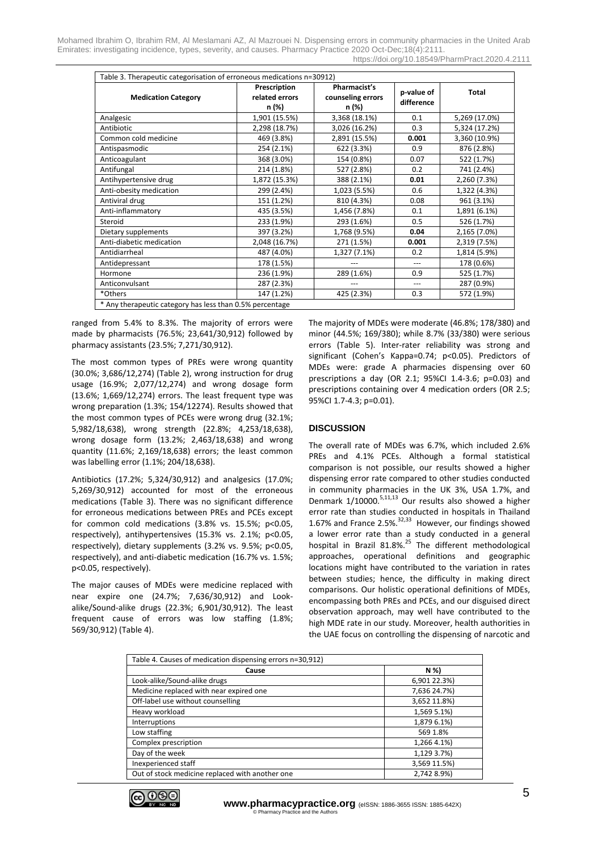Mohamed Ibrahim O, Ibrahim RM, Al Meslamani AZ, Al Mazrouei N. Dispensing errors in community pharmacies in the United Arab Emirates: investigating incidence, types, severity, and causes. Pharmacy Practice 2020 Oct-Dec;18(4):2111. https://doi.org/10.18549/PharmPract.2020.4.2111

| Table 3. Therapeutic categorisation of erroneous medications n=30912) |                                         |                                            |                          |               |
|-----------------------------------------------------------------------|-----------------------------------------|--------------------------------------------|--------------------------|---------------|
| <b>Medication Category</b>                                            | Prescription<br>related errors<br>n (%) | Pharmacist's<br>counseling errors<br>n (%) | p-value of<br>difference | Total         |
| Analgesic                                                             | 1,901 (15.5%)                           | 3,368 (18.1%)                              | 0.1                      | 5,269 (17.0%) |
| Antibiotic                                                            | 2,298 (18.7%)                           | 3,026 (16.2%)                              | 0.3                      | 5,324 (17.2%) |
| Common cold medicine                                                  | 469 (3.8%)                              | 2,891 (15.5%)                              | 0.001                    | 3,360 (10.9%) |
| Antispasmodic                                                         | 254 (2.1%)                              | 622 (3.3%)                                 | 0.9                      | 876 (2.8%)    |
| Anticoagulant                                                         | 368 (3.0%)                              | 154 (0.8%)                                 | 0.07                     | 522 (1.7%)    |
| Antifungal                                                            | 214 (1.8%)                              | 527 (2.8%)                                 | 0.2                      | 741 (2.4%)    |
| Antihypertensive drug                                                 | 1,872 (15.3%)                           | 388 (2.1%)                                 | 0.01                     | 2,260 (7.3%)  |
| Anti-obesity medication                                               | 299 (2.4%)                              | 1,023 (5.5%)                               | 0.6                      | 1,322 (4.3%)  |
| Antiviral drug                                                        | 151 (1.2%)                              | 810 (4.3%)                                 | 0.08                     | 961 (3.1%)    |
| Anti-inflammatory                                                     | 435 (3.5%)                              | 1,456 (7.8%)                               | 0.1                      | 1,891 (6.1%)  |
| Steroid                                                               | 233 (1.9%)                              | 293 (1.6%)                                 | 0.5                      | 526 (1.7%)    |
| Dietary supplements                                                   | 397 (3.2%)                              | 1,768 (9.5%)                               | 0.04                     | 2,165 (7.0%)  |
| Anti-diabetic medication                                              | 2,048 (16.7%)                           | 271 (1.5%)                                 | 0.001                    | 2,319 (7.5%)  |
| Antidiarrheal                                                         | 487 (4.0%)                              | 1,327 (7.1%)                               | 0.2                      | 1,814 (5.9%)  |
| Antidepressant                                                        | 178 (1.5%)                              |                                            | ---                      | 178 (0.6%)    |
| Hormone                                                               | 236 (1.9%)                              | 289 (1.6%)                                 | 0.9                      | 525 (1.7%)    |
| Anticonvulsant                                                        | 287 (2.3%)                              |                                            | ---                      | 287 (0.9%)    |
| *Others                                                               | 147 (1.2%)                              | 425 (2.3%)                                 | 0.3                      | 572 (1.9%)    |
| * Any therapeutic category has less than 0.5% percentage              |                                         |                                            |                          |               |

ranged from 5.4% to 8.3%. The majority of errors were made by pharmacists (76.5%; 23,641/30,912) followed by pharmacy assistants (23.5%; 7,271/30,912).

The most common types of PREs were wrong quantity (30.0%; 3,686/12,274) (Table 2), wrong instruction for drug usage (16.9%; 2,077/12,274) and wrong dosage form (13.6%; 1,669/12,274) errors. The least frequent type was wrong preparation (1.3%; 154/12274). Results showed that the most common types of PCEs were wrong drug (32.1%; 5,982/18,638), wrong strength (22.8%; 4,253/18,638), wrong dosage form (13.2%; 2,463/18,638) and wrong quantity (11.6%; 2,169/18,638) errors; the least common was labelling error (1.1%; 204/18,638).

Antibiotics (17.2%; 5,324/30,912) and analgesics (17.0%; 5,269/30,912) accounted for most of the erroneous medications (Table 3). There was no significant difference for erroneous medications between PREs and PCEs except for common cold medications (3.8% vs. 15.5%; p<0.05, respectively), antihypertensives (15.3% vs. 2.1%; p<0.05, respectively), dietary supplements (3.2% vs. 9.5%; p<0.05, respectively), and anti-diabetic medication (16.7% vs. 1.5%; p<0.05, respectively).

The major causes of MDEs were medicine replaced with near expire one (24.7%; 7,636/30,912) and Lookalike/Sound-alike drugs (22.3%; 6,901/30,912). The least frequent cause of errors was low staffing (1.8%; 569/30,912) (Table 4).

The majority of MDEs were moderate (46.8%; 178/380) and minor (44.5%; 169/380); while 8.7% (33/380) were serious errors (Table 5). Inter-rater reliability was strong and significant (Cohen's Kappa=0.74; p<0.05). Predictors of MDEs were: grade A pharmacies dispensing over 60 prescriptions a day (OR 2.1; 95%CI 1.4-3.6; p=0.03) and prescriptions containing over 4 medication orders (OR 2.5; 95%CI 1.7-4.3; p=0.01).

## **DISCUSSION**

The overall rate of MDEs was 6.7%, which included 2.6% PREs and 4.1% PCEs. Although a formal statistical comparison is not possible, our results showed a higher dispensing error rate compared to other studies conducted in community pharmacies in the UK 3%, USA 1.7%, and Denmark 1/10000.<sup>5,11,13</sup> Our results also showed a higher error rate than studies conducted in hospitals in Thailand 1.67% and France 2.5%.<sup>32,33</sup> However, our findings showed a lower error rate than a study conducted in a general hospital in Brazil 81.8%.<sup>25</sup> The different methodological approaches, operational definitions and geographic locations might have contributed to the variation in rates between studies; hence, the difficulty in making direct comparisons. Our holistic operational definitions of MDEs, encompassing both PREs and PCEs, and our disguised direct observation approach, may well have contributed to the high MDE rate in our study. Moreover, health authorities in the UAE focus on controlling the dispensing of narcotic and

| Table 4. Causes of medication dispensing errors n=30,912) |              |  |  |
|-----------------------------------------------------------|--------------|--|--|
| Cause                                                     | N %)         |  |  |
| Look-alike/Sound-alike drugs                              | 6,901 22.3%) |  |  |
| Medicine replaced with near expired one                   | 7,636 24.7%) |  |  |
| Off-label use without counselling                         | 3,652 11.8%) |  |  |
| Heavy workload                                            | 1,569 5.1%)  |  |  |
| Interruptions                                             | 1,879 6.1%)  |  |  |
| Low staffing                                              | 569 1.8%     |  |  |
| Complex prescription                                      | 1,266 4.1%)  |  |  |
| Day of the week                                           | 1,129 3.7%)  |  |  |
| Inexperienced staff                                       | 3,569 11.5%) |  |  |
| Out of stock medicine replaced with another one           | 2,742 8.9%)  |  |  |

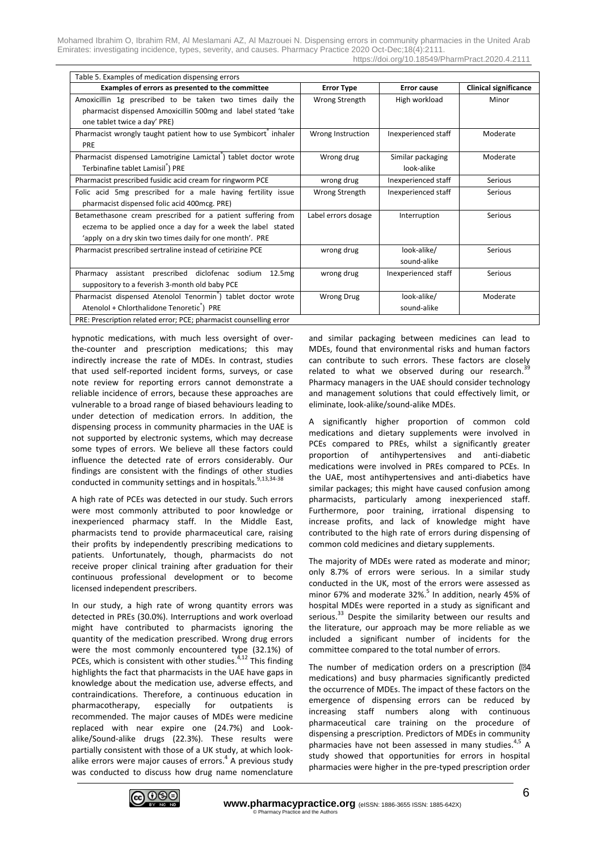| Table 5. Examples of medication dispensing errors                            |                     |                     |                              |
|------------------------------------------------------------------------------|---------------------|---------------------|------------------------------|
| Examples of errors as presented to the committee                             | <b>Error Type</b>   | <b>Error cause</b>  | <b>Clinical significance</b> |
| Amoxicillin 1g prescribed to be taken two times daily the                    | Wrong Strength      | High workload       | Minor                        |
| pharmacist dispensed Amoxicillin 500mg and label stated 'take                |                     |                     |                              |
| one tablet twice a day' PRE)                                                 |                     |                     |                              |
| Pharmacist wrongly taught patient how to use Symbicort inhaler               | Wrong Instruction   | Inexperienced staff | Moderate                     |
| PRE                                                                          |                     |                     |                              |
| Pharmacist dispensed Lamotrigine Lamictal <sup>T</sup> ) tablet doctor wrote | Wrong drug          | Similar packaging   | Moderate                     |
| Terbinafine tablet Lamisil <sup>®</sup> ) PRE                                |                     | look-alike          |                              |
| Pharmacist prescribed fusidic acid cream for ringworm PCE                    | wrong drug          | Inexperienced staff | Serious                      |
| Folic acid 5mg prescribed for a male having fertility issue                  | Wrong Strength      | Inexperienced staff | Serious                      |
| pharmacist dispensed folic acid 400mcg. PRE)                                 |                     |                     |                              |
| Betamethasone cream prescribed for a patient suffering from                  | Label errors dosage | Interruption        | Serious                      |
| eczema to be applied once a day for a week the label stated                  |                     |                     |                              |
| 'apply on a dry skin two times daily for one month'. PRE                     |                     |                     |                              |
| Pharmacist prescribed sertraline instead of cetirizine PCE                   | wrong drug          | look-alike/         | Serious                      |
|                                                                              |                     | sound-alike         |                              |
| Pharmacy assistant prescribed diclofenac sodium<br>12.5mg                    | wrong drug          | Inexperienced staff | Serious                      |
| suppository to a feverish 3-month old baby PCE                               |                     |                     |                              |
| Pharmacist dispensed Atenolol Tenormin <sup>®</sup> ) tablet doctor wrote    | <b>Wrong Drug</b>   | look-alike/         | Moderate                     |
| Atenolol + Chlorthalidone Tenoretic®) PRE                                    |                     | sound-alike         |                              |
| PRE: Prescription related error; PCE; pharmacist counselling error           |                     |                     |                              |

hypnotic medications, with much less oversight of overthe-counter and prescription medications; this may indirectly increase the rate of MDEs. In contrast, studies that used self-reported incident forms, surveys, or case note review for reporting errors cannot demonstrate a reliable incidence of errors, because these approaches are vulnerable to a broad range of biased behaviours leading to under detection of medication errors. In addition, the dispensing process in community pharmacies in the UAE is not supported by electronic systems, which may decrease some types of errors. We believe all these factors could influence the detected rate of errors considerably. Our findings are consistent with the findings of other studies conducted in community settings and in hospitals.<sup>9,13,34-38</sup>

A high rate of PCEs was detected in our study. Such errors were most commonly attributed to poor knowledge or inexperienced pharmacy staff. In the Middle East, pharmacists tend to provide pharmaceutical care, raising their profits by independently prescribing medications to patients. Unfortunately, though, pharmacists do not receive proper clinical training after graduation for their continuous professional development or to become licensed independent prescribers.

In our study, a high rate of wrong quantity errors was detected in PREs (30.0%). Interruptions and work overload might have contributed to pharmacists ignoring the quantity of the medication prescribed. Wrong drug errors were the most commonly encountered type (32.1%) of PCEs, which is consistent with other studies.<sup>4,12</sup> This finding highlights the fact that pharmacists in the UAE have gaps in knowledge about the medication use, adverse effects, and contraindications. Therefore, a continuous education in pharmacotherapy, especially for outpatients is recommended. The major causes of MDEs were medicine replaced with near expire one (24.7%) and Lookalike/Sound-alike drugs (22.3%). These results were partially consistent with those of a UK study, at which lookalike errors were major causes of errors.<sup>4</sup> A previous study was conducted to discuss how drug name nomenclature and similar packaging between medicines can lead to MDEs, found that environmental risks and human factors can contribute to such errors. These factors are closely related to what we observed during our research.<sup>39</sup> Pharmacy managers in the UAE should consider technology and management solutions that could effectively limit, or eliminate, look-alike/sound-alike MDEs.

A significantly higher proportion of common cold medications and dietary supplements were involved in PCEs compared to PREs, whilst a significantly greater proportion of antihypertensives and anti-diabetic medications were involved in PREs compared to PCEs. In the UAE, most antihypertensives and anti-diabetics have similar packages; this might have caused confusion among pharmacists, particularly among inexperienced staff. Furthermore, poor training, irrational dispensing to increase profits, and lack of knowledge might have contributed to the high rate of errors during dispensing of common cold medicines and dietary supplements.

The majority of MDEs were rated as moderate and minor; only 8.7% of errors were serious. In a similar study conducted in the UK, most of the errors were assessed as minor 67% and moderate 32%. 5 In addition, nearly 45% of hospital MDEs were reported in a study as significant and serious.<sup>33</sup> Despite the similarity between our results and the literature, our approach may be more reliable as we included a significant number of incidents for the committee compared to the total number of errors.

The number of medication orders on a prescription (24 medications) and busy pharmacies significantly predicted the occurrence of MDEs. The impact of these factors on the emergence of dispensing errors can be reduced by increasing staff numbers along with continuous pharmaceutical care training on the procedure of dispensing a prescription. Predictors of MDEs in community pharmacies have not been assessed in many studies.<sup>4,5</sup> A study showed that opportunities for errors in hospital pharmacies were higher in the pre-typed prescription order

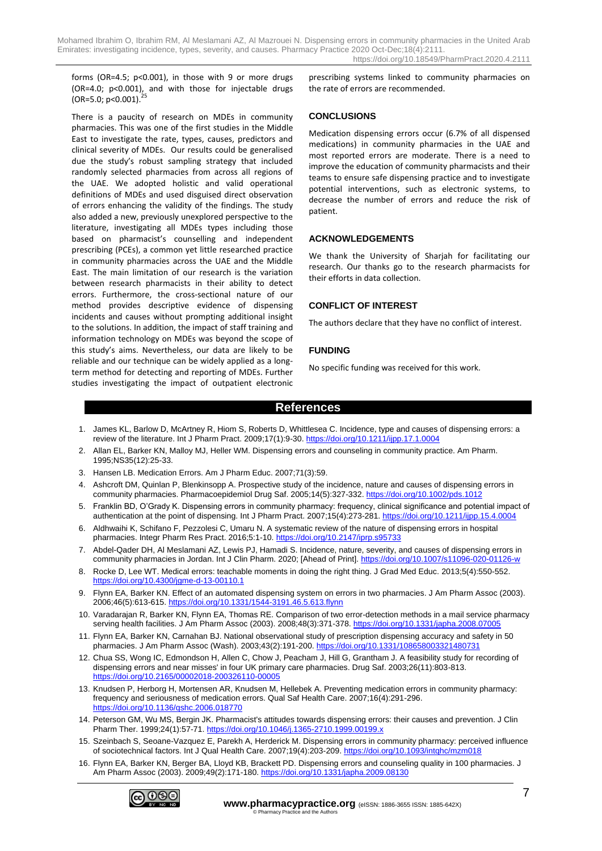forms (OR=4.5; p<0.001), in those with 9 or more drugs (OR=4.0; p<0.001), and with those for injectable drugs (OR=5.0; p<0.001).<sup>25</sup>

There is a paucity of research on MDEs in community pharmacies. This was one of the first studies in the Middle East to investigate the rate, types, causes, predictors and clinical severity of MDEs. Our results could be generalised due the study's robust sampling strategy that included randomly selected pharmacies from across all regions of the UAE. We adopted holistic and valid operational definitions of MDEs and used disguised direct observation of errors enhancing the validity of the findings. The study also added a new, previously unexplored perspective to the literature, investigating all MDEs types including those based on pharmacist's counselling and independent prescribing (PCEs), a common yet little researched practice in community pharmacies across the UAE and the Middle East. The main limitation of our research is the variation between research pharmacists in their ability to detect errors. Furthermore, the cross-sectional nature of our method provides descriptive evidence of dispensing incidents and causes without prompting additional insight to the solutions. In addition, the impact of staff training and information technology on MDEs was beyond the scope of this study's aims. Nevertheless, our data are likely to be reliable and our technique can be widely applied as a longterm method for detecting and reporting of MDEs. Further studies investigating the impact of outpatient electronic prescribing systems linked to community pharmacies on the rate of errors are recommended.

## **CONCLUSIONS**

Medication dispensing errors occur (6.7% of all dispensed medications) in community pharmacies in the UAE and most reported errors are moderate. There is a need to improve the education of community pharmacists and their teams to ensure safe dispensing practice and to investigate potential interventions, such as electronic systems, to decrease the number of errors and reduce the risk of patient.

## **ACKNOWLEDGEMENTS**

We thank the University of Sharjah for facilitating our research. Our thanks go to the research pharmacists for their efforts in data collection.

## **CONFLICT OF INTEREST**

The authors declare that they have no conflict of interest.

## **FUNDING**

No specific funding was received for this work.

# **References**

- 1. James KL, Barlow D, McArtney R, Hiom S, Roberts D, Whittlesea C. Incidence, type and causes of dispensing errors: a review of the literature. Int J Pharm Pract. 2009;17(1):9-30.<https://doi.org/10.1211/ijpp.17.1.0004>
- 2. Allan EL, Barker KN, Malloy MJ, Heller WM. Dispensing errors and counseling in community practice. Am Pharm. 1995;NS35(12):25-33.
- 3. Hansen LB. Medication Errors. Am J Pharm Educ. 2007;71(3):59.
- 4. Ashcroft DM, Quinlan P, Blenkinsopp A. Prospective study of the incidence, nature and causes of dispensing errors in community pharmacies. Pharmacoepidemiol Drug Saf. 2005;14(5):327-332[. https://doi.org/10.1002/pds.1012](https://doi.org/10.1002/pds.1012)
- 5. Franklin BD, O'Grady K. Dispensing errors in community pharmacy: frequency, clinical significance and potential impact of authentication at the point of dispensing. Int J Pharm Pract. 2007;15(4):273-281[. https://doi.org/10.1211/ijpp.15.4.0004](https://doi.org/10.1211/ijpp.15.4.0004)
- 6. Aldhwaihi K, Schifano F, Pezzolesi C, Umaru N. A systematic review of the nature of dispensing errors in hospital pharmacies. Integr Pharm Res Pract. 2016;5:1-10. https://doi.org/10.2147/iprp.s9573
- 7. Abdel-Qader DH, Al Meslamani AZ, Lewis PJ, Hamadi S. Incidence, nature, severity, and causes of dispensing errors in community pharmacies in Jordan. Int J Clin Pharm. 2020; [Ahead of Print].<https://doi.org/10.1007/s11096-020-01126-w>
- 8. Rocke D, Lee WT. Medical errors: teachable moments in doing the right thing. J Grad Med Educ. 2013;5(4):550-552. <https://doi.org/10.4300/jgme-d-13-00110.1>
- 9. Flynn EA, Barker KN. Effect of an automated dispensing system on errors in two pharmacies. J Am Pharm Assoc (2003). 2006;46(5):613-615.<https://doi.org/10.1331/1544-3191.46.5.613.flynn>
- 10. Varadarajan R, Barker KN, Flynn EA, Thomas RE. Comparison of two error-detection methods in a mail service pharmacy serving health facilities. J Am Pharm Assoc (2003). 2008;48(3):371-378[. https://doi.org/10.1331/japha.2008.07005](https://doi.org/10.1331/japha.2008.07005)
- 11. Flynn EA, Barker KN, Carnahan BJ. National observational study of prescription dispensing accuracy and safety in 50 pharmacies. J Am Pharm Assoc (Wash). 2003;43(2):191-200. https://doi.org/10.1331/108
- 12. Chua SS, Wong IC, Edmondson H, Allen C, Chow J, Peacham J, Hill G, Grantham J. A feasibility study for recording of dispensing errors and near misses' in four UK primary care pharmacies. Drug Saf. 2003;26(11):803-813. <https://doi.org/10.2165/00002018-200326110-00005>
- 13. Knudsen P, Herborg H, Mortensen AR, Knudsen M, Hellebek A. Preventing medication errors in community pharmacy: frequency and seriousness of medication errors. Qual Saf Health Care. 2007;16(4):291-296. <https://doi.org/10.1136/qshc.2006.018770>
- 14. Peterson GM, Wu MS, Bergin JK. Pharmacist's attitudes towards dispensing errors: their causes and prevention. J Clin Pharm Ther. 1999;24(1):57-71[. https://doi.org/10.1046/j.1365-2710.1999.00199.x](https://doi.org/10.1046/j.1365-2710.1999.00199.x)
- 15. Szeinbach S, Seoane-Vazquez E, Parekh A, Herderick M. Dispensing errors in community pharmacy: perceived influence of sociotechnical factors. Int J Qual Health Care. 2007;19(4):203-209[. https://doi.org/10.1093/intqhc/mzm018](https://doi.org/10.1093/intqhc/mzm018)
- 16. Flynn EA, Barker KN, Berger BA, Lloyd KB, Brackett PD. Dispensing errors and counseling quality in 100 pharmacies. J Am Pharm Assoc (2003). 2009;49(2):171-180[. https://doi.org/10.1331/japha.2009.08130](https://doi.org/10.1331/japha.2009.08130)